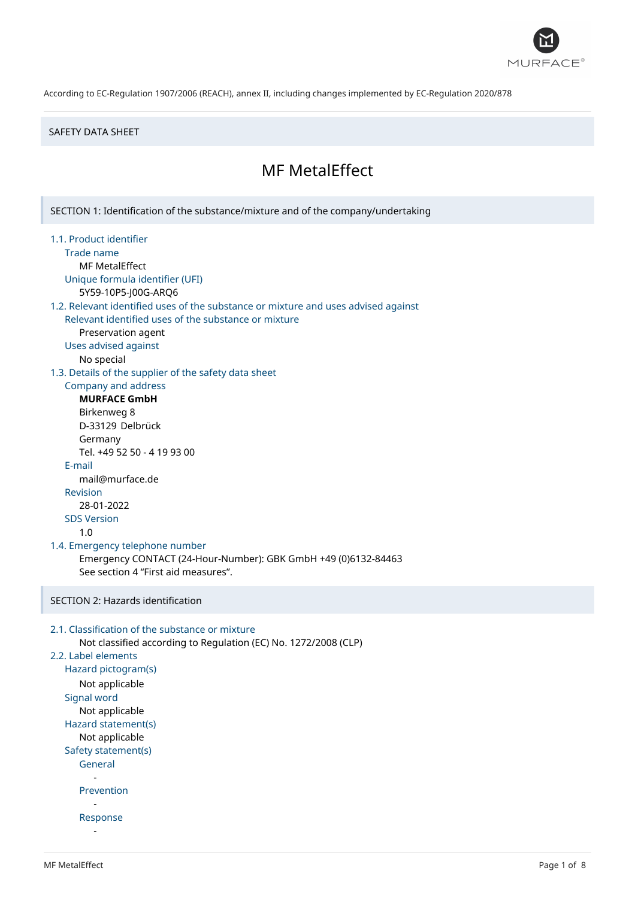

### SAFETY DATA SHEET

# MF MetalEffect

SECTION 1: Identification of the substance/mixture and of the company/undertaking 1.1. Product identifier Trade name MF MetalEffect Unique formula identifier (UFI) 5Y59-10P5-J00G-ARQ6 1.2. Relevant identified uses of the substance or mixture and uses advised against Relevant identified uses of the substance or mixture Preservation agent Uses advised against No special 1.3. Details of the supplier of the safety data sheet Company and address **MURFACE GmbH** Birkenweg 8 D-33129 Delbrück Germany Tel. +49 52 50 - 4 19 93 00 E-mail mail@murface.de Revision 28-01-2022 SDS Version 1.0 1.4. Emergency telephone number Emergency CONTACT (24-Hour-Number): GBK GmbH +49 (0)6132-84463 See section 4 "First aid measures". SECTION 2: Hazards identification 2.1. Classification of the substance or mixture Not classified according to Regulation (EC) No. 1272/2008 (CLP) 2.2. Label elements Hazard pictogram(s) Not applicable Signal word Not applicable Hazard statement(s) Not applicable Safety statement(s) General - Prevention - Response -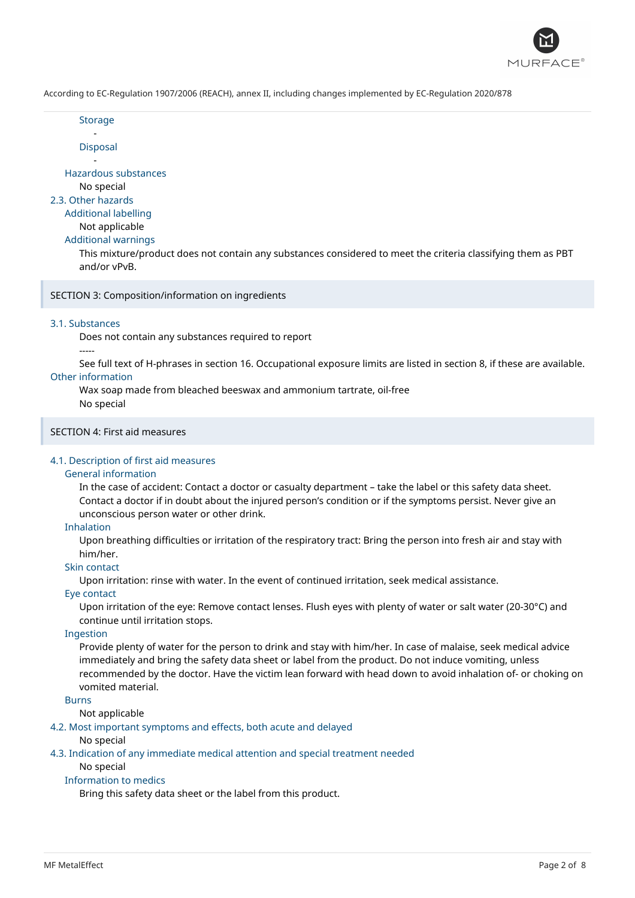

**Storage** -

Disposal

- Hazardous substances

No special

2.3. Other hazards

# Additional labelling

Not applicable

Additional warnings

This mixture/product does not contain any substances considered to meet the criteria classifying them as PBT and/or vPvB.

SECTION 3: Composition/information on ingredients

### 3.1. Substances

Does not contain any substances required to report

### -----

See full text of H-phrases in section 16. Occupational exposure limits are listed in section 8, if these are available. Other information

Wax soap made from bleached beeswax and ammonium tartrate, oil-free No special

# SECTION 4: First aid measures

# 4.1. Description of first aid measures

### General information

In the case of accident: Contact a doctor or casualty department – take the label or this safety data sheet. Contact a doctor if in doubt about the injured person's condition or if the symptoms persist. Never give an unconscious person water or other drink.

### Inhalation

Upon breathing difficulties or irritation of the respiratory tract: Bring the person into fresh air and stay with him/her.

# Skin contact

Upon irritation: rinse with water. In the event of continued irritation, seek medical assistance.

### Eye contact

Upon irritation of the eye: Remove contact lenses. Flush eyes with plenty of water or salt water (20-30°C) and continue until irritation stops.

### Ingestion

Provide plenty of water for the person to drink and stay with him/her. In case of malaise, seek medical advice immediately and bring the safety data sheet or label from the product. Do not induce vomiting, unless recommended by the doctor. Have the victim lean forward with head down to avoid inhalation of- or choking on vomited material.

Burns

### Not applicable

4.2. Most important symptoms and effects, both acute and delayed

### No special

4.3. Indication of any immediate medical attention and special treatment needed

# No special

# Information to medics

Bring this safety data sheet or the label from this product.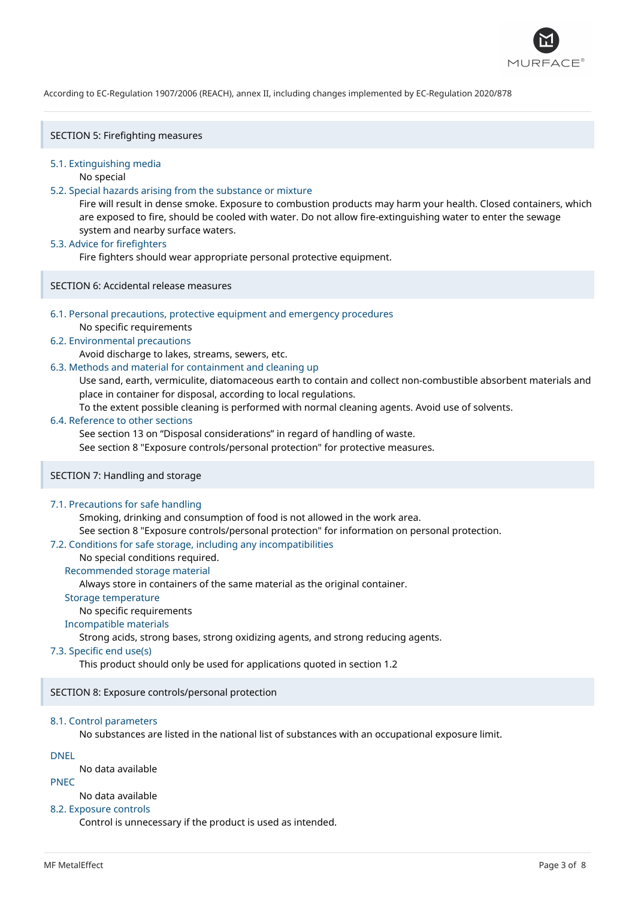

SECTION 5: Firefighting measures

### 5.1. Extinguishing media

No special

### 5.2. Special hazards arising from the substance or mixture

Fire will result in dense smoke. Exposure to combustion products may harm your health. Closed containers, which are exposed to fire, should be cooled with water. Do not allow fire-extinguishing water to enter the sewage system and nearby surface waters.

### 5.3. Advice for firefighters

Fire fighters should wear appropriate personal protective equipment.

SECTION 6: Accidental release measures

### 6.1. Personal precautions, protective equipment and emergency procedures

No specific requirements

### 6.2. Environmental precautions

Avoid discharge to lakes, streams, sewers, etc.

### 6.3. Methods and material for containment and cleaning up

Use sand, earth, vermiculite, diatomaceous earth to contain and collect non-combustible absorbent materials and place in container for disposal, according to local regulations.

To the extent possible cleaning is performed with normal cleaning agents. Avoid use of solvents.

### 6.4. Reference to other sections

See section 13 on "Disposal considerations" in regard of handling of waste.

See section 8 "Exposure controls/personal protection" for protective measures.

# SECTION 7: Handling and storage

### 7.1. Precautions for safe handling

Smoking, drinking and consumption of food is not allowed in the work area.

See section 8 "Exposure controls/personal protection" for information on personal protection.

### 7.2. Conditions for safe storage, including any incompatibilities

### No special conditions required.

### Recommended storage material

Always store in containers of the same material as the original container.

### Storage temperature

### No specific requirements

# Incompatible materials

Strong acids, strong bases, strong oxidizing agents, and strong reducing agents.

# 7.3. Specific end use(s)

This product should only be used for applications quoted in section 1.2

# SECTION 8: Exposure controls/personal protection

# 8.1. Control parameters

No substances are listed in the national list of substances with an occupational exposure limit.

# DNEL

No data available

# PNEC

### No data available

### 8.2. Exposure controls

Control is unnecessary if the product is used as intended.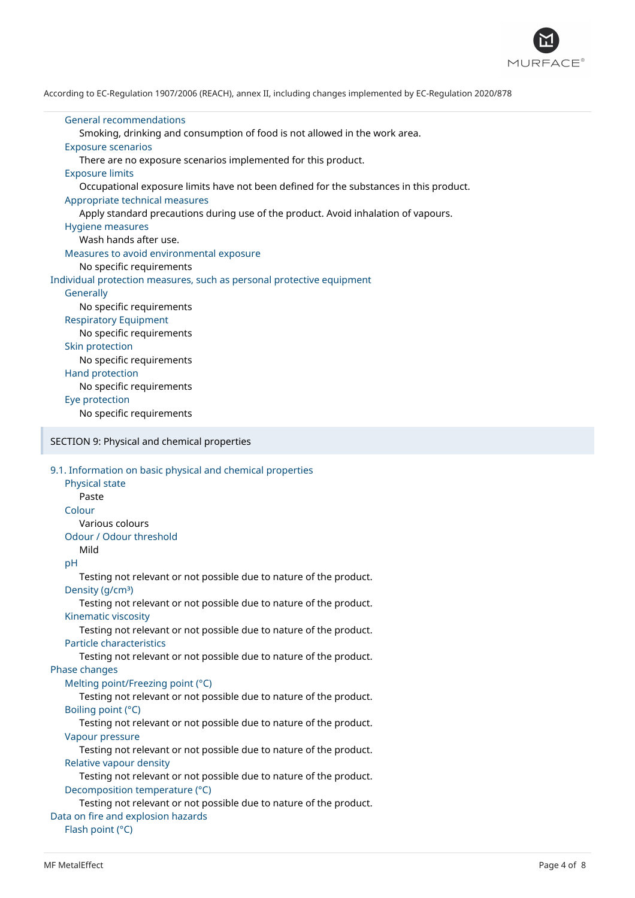

General recommendations Smoking, drinking and consumption of food is not allowed in the work area. Exposure scenarios There are no exposure scenarios implemented for this product. Exposure limits Occupational exposure limits have not been defined for the substances in this product. Appropriate technical measures Apply standard precautions during use of the product. Avoid inhalation of vapours. Hygiene measures Wash hands after use. Measures to avoid environmental exposure No specific requirements Individual protection measures, such as personal protective equipment **Generally** No specific requirements Respiratory Equipment No specific requirements Skin protection No specific requirements Hand protection No specific requirements Eye protection No specific requirements SECTION 9: Physical and chemical properties 9.1. Information on basic physical and chemical properties Physical state Paste Colour Various colours Odour / Odour threshold Mild pH Testing not relevant or not possible due to nature of the product. Density (g/cm<sup>3</sup>) Testing not relevant or not possible due to nature of the product. Kinematic viscosity Testing not relevant or not possible due to nature of the product. Particle characteristics Testing not relevant or not possible due to nature of the product. Phase changes Melting point/Freezing point (°C) Testing not relevant or not possible due to nature of the product. Boiling point (°C) Testing not relevant or not possible due to nature of the product. Vapour pressure Testing not relevant or not possible due to nature of the product. Relative vapour density Testing not relevant or not possible due to nature of the product. Decomposition temperature (°C) Testing not relevant or not possible due to nature of the product. Data on fire and explosion hazards Flash point (°C)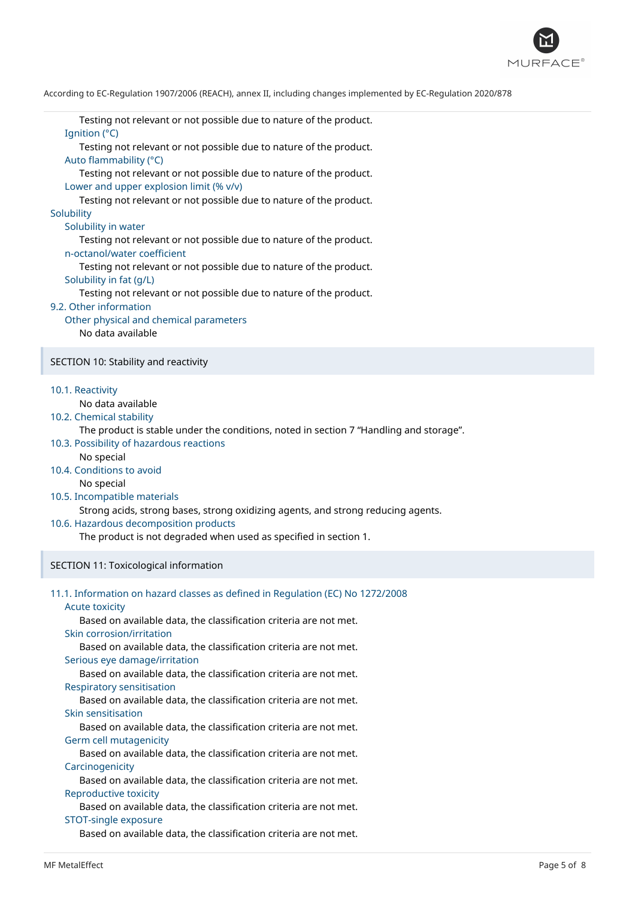

Testing not relevant or not possible due to nature of the product. Ignition (°C)

Testing not relevant or not possible due to nature of the product. Auto flammability (°C)

Testing not relevant or not possible due to nature of the product. Lower and upper explosion limit (% v/v)

Testing not relevant or not possible due to nature of the product. **Solubility** 

Solubility in water

Testing not relevant or not possible due to nature of the product. n-octanol/water coefficient

Testing not relevant or not possible due to nature of the product. Solubility in fat (g/L)

Testing not relevant or not possible due to nature of the product.

### 9.2. Other information

Other physical and chemical parameters No data available

SECTION 10: Stability and reactivity

10.1. Reactivity

No data available

10.2. Chemical stability

The product is stable under the conditions, noted in section 7 "Handling and storage".

- 10.3. Possibility of hazardous reactions
	- No special
- 10.4. Conditions to avoid

No special

10.5. Incompatible materials

Strong acids, strong bases, strong oxidizing agents, and strong reducing agents.

10.6. Hazardous decomposition products

The product is not degraded when used as specified in section 1.

### SECTION 11: Toxicological information

|  | 11.1. Information on hazard classes as defined in Regulation (EC) No 1272/2008 |  |  |  |  |  |
|--|--------------------------------------------------------------------------------|--|--|--|--|--|
|--|--------------------------------------------------------------------------------|--|--|--|--|--|

Acute toxicity

Based on available data, the classification criteria are not met. Skin corrosion/irritation

Based on available data, the classification criteria are not met. Serious eye damage/irritation

Based on available data, the classification criteria are not met.

Respiratory sensitisation

Based on available data, the classification criteria are not met. Skin sensitisation

Based on available data, the classification criteria are not met. Germ cell mutagenicity

Based on available data, the classification criteria are not met. **Carcinogenicity** 

Based on available data, the classification criteria are not met. Reproductive toxicity

Based on available data, the classification criteria are not met. STOT-single exposure

Based on available data, the classification criteria are not met.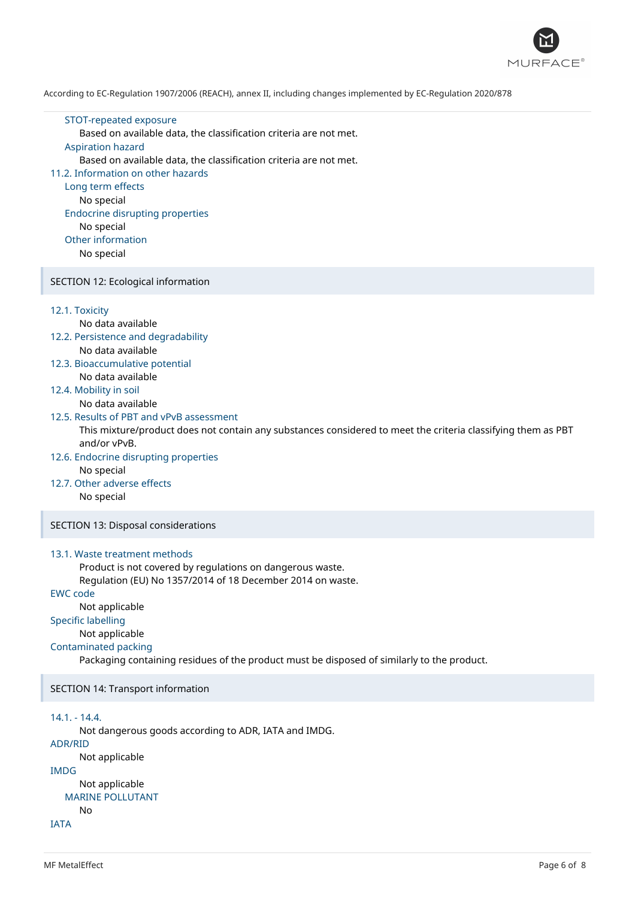

### STOT-repeated exposure

Based on available data, the classification criteria are not met.

### Aspiration hazard

Based on available data, the classification criteria are not met.

### 11.2. Information on other hazards

Long term effects No special Endocrine disrupting properties No special Other information No special

### SECTION 12: Ecological information

### 12.1. Toxicity

# No data available

- 12.2. Persistence and degradability No data available
- 12.3. Bioaccumulative potential No data available

# 12.4. Mobility in soil

No data available

### 12.5. Results of PBT and vPvB assessment

This mixture/product does not contain any substances considered to meet the criteria classifying them as PBT and/or vPvB.

- 12.6. Endocrine disrupting properties No special
- 12.7. Other adverse effects No special

### SECTION 13: Disposal considerations

### 13.1. Waste treatment methods

Product is not covered by regulations on dangerous waste. Regulation (EU) No 1357/2014 of 18 December 2014 on waste.

### EWC code

Not applicable

# Specific labelling

Not applicable

### Contaminated packing

Packaging containing residues of the product must be disposed of similarly to the product.

SECTION 14: Transport information

### 14.1. - 14.4.

Not dangerous goods according to ADR, IATA and IMDG.

# ADR/RID

```
Not applicable
IMDG
```

```
Not applicable
MARINE POLLUTANT
  No
```

```
IATA
```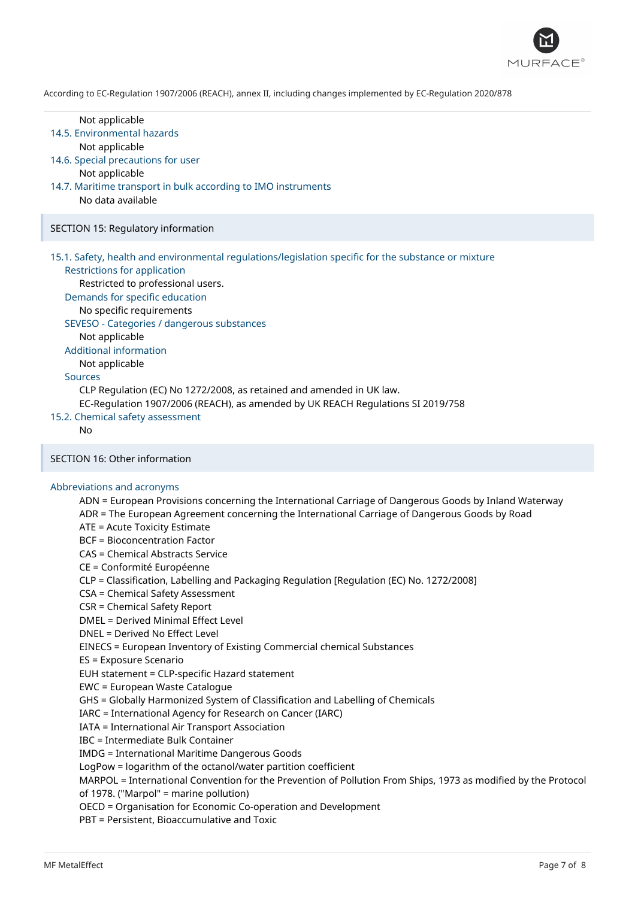

#### Not applicable

### 14.5. Environmental hazards

Not applicable

- 14.6. Special precautions for user Not applicable
- 14.7. Maritime transport in bulk according to IMO instruments No data available

### SECTION 15: Regulatory information

15.1. Safety, health and environmental regulations/legislation specific for the substance or mixture

## Restrictions for application

Restricted to professional users.

Demands for specific education

No specific requirements

SEVESO - Categories / dangerous substances

Not applicable

Additional information

Not applicable

### Sources

CLP Regulation (EC) No 1272/2008, as retained and amended in UK law.

EC-Regulation 1907/2006 (REACH), as amended by UK REACH Regulations SI 2019/758

# 15.2. Chemical safety assessment

 $N<sub>0</sub>$ 

### SECTION 16: Other information

### Abbreviations and acronyms

ADN = European Provisions concerning the International Carriage of Dangerous Goods by Inland Waterway ADR = The European Agreement concerning the International Carriage of Dangerous Goods by Road ATE = Acute Toxicity Estimate BCF = Bioconcentration Factor CAS = Chemical Abstracts Service CE = Conformité Européenne CLP = Classification, Labelling and Packaging Regulation [Regulation (EC) No. 1272/2008] CSA = Chemical Safety Assessment CSR = Chemical Safety Report DMEL = Derived Minimal Effect Level DNEL = Derived No Effect Level EINECS = European Inventory of Existing Commercial chemical Substances ES = Exposure Scenario EUH statement = CLP-specific Hazard statement EWC = European Waste Catalogue GHS = Globally Harmonized System of Classification and Labelling of Chemicals IARC = International Agency for Research on Cancer (IARC) IATA = International Air Transport Association IBC = Intermediate Bulk Container IMDG = International Maritime Dangerous Goods LogPow = logarithm of the octanol/water partition coefficient MARPOL = International Convention for the Prevention of Pollution From Ships, 1973 as modified by the Protocol of 1978. ("Marpol" = marine pollution) OECD = Organisation for Economic Co-operation and Development PBT = Persistent, Bioaccumulative and Toxic